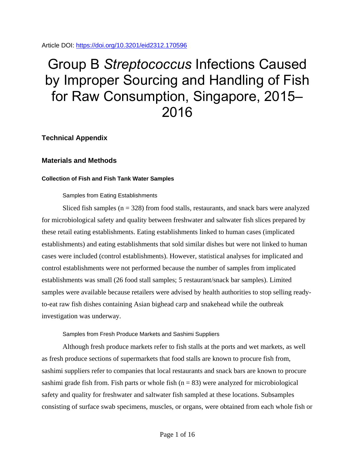Article DOI:<https://doi.org/10.3201/eid2312.170596>

# Group B *Streptococcus* Infections Caused by Improper Sourcing and Handling of Fish for Raw Consumption, Singapore, 2015– 2016

**Technical Appendix**

## **Materials and Methods**

## **Collection of Fish and Fish Tank Water Samples**

## Samples from Eating Establishments

Sliced fish samples  $(n = 328)$  from food stalls, restaurants, and snack bars were analyzed for microbiological safety and quality between freshwater and saltwater fish slices prepared by these retail eating establishments. Eating establishments linked to human cases (implicated establishments) and eating establishments that sold similar dishes but were not linked to human cases were included (control establishments). However, statistical analyses for implicated and control establishments were not performed because the number of samples from implicated establishments was small (26 food stall samples; 5 restaurant/snack bar samples). Limited samples were available because retailers were advised by health authorities to stop selling readyto-eat raw fish dishes containing Asian bighead carp and snakehead while the outbreak investigation was underway.

## Samples from Fresh Produce Markets and Sashimi Suppliers

Although fresh produce markets refer to fish stalls at the ports and wet markets, as well as fresh produce sections of supermarkets that food stalls are known to procure fish from, sashimi suppliers refer to companies that local restaurants and snack bars are known to procure sashimi grade fish from. Fish parts or whole fish  $(n = 83)$  were analyzed for microbiological safety and quality for freshwater and saltwater fish sampled at these locations. Subsamples consisting of surface swab specimens, muscles, or organs, were obtained from each whole fish or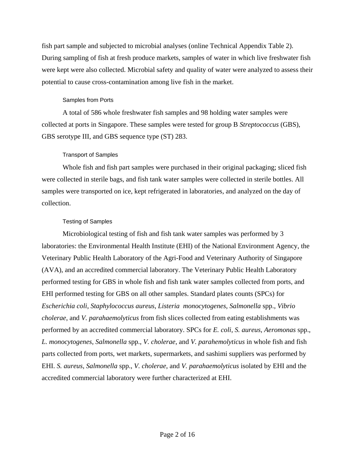fish part sample and subjected to microbial analyses (online Technical Appendix Table 2). During sampling of fish at fresh produce markets, samples of water in which live freshwater fish were kept were also collected. Microbial safety and quality of water were analyzed to assess their potential to cause cross-contamination among live fish in the market.

## Samples from Ports

A total of 586 whole freshwater fish samples and 98 holding water samples were collected at ports in Singapore. These samples were tested for group B *Streptococcus* (GBS), GBS serotype III, and GBS sequence type (ST) 283.

# Transport of Samples

Whole fish and fish part samples were purchased in their original packaging; sliced fish were collected in sterile bags, and fish tank water samples were collected in sterile bottles. All samples were transported on ice, kept refrigerated in laboratories, and analyzed on the day of collection.

# Testing of Samples

Microbiological testing of fish and fish tank water samples was performed by 3 laboratories: the Environmental Health Institute (EHI) of the National Environment Agency, the Veterinary Public Health Laboratory of the Agri-Food and Veterinary Authority of Singapore (AVA), and an accredited commercial laboratory. The Veterinary Public Health Laboratory performed testing for GBS in whole fish and fish tank water samples collected from ports, and EHI performed testing for GBS on all other samples. Standard plates counts (SPCs) for *Escherichia coli*, *Staphylococcus aureus*, *Listeria monocytogenes*, *Salmonella* spp., *Vibrio cholerae*, and *V. parahaemolyticus* from fish slices collected from eating establishments was performed by an accredited commercial laboratory. SPCs for *E. coli*, *S. aureus*, *Aeromonas* spp., *L. monocytogenes*, *Salmonella* spp., *V. cholerae*, and *V. parahemolyticus* in whole fish and fish parts collected from ports, wet markets, supermarkets, and sashimi suppliers was performed by EHI. *S. aureus*, *Salmonella* spp., *V. cholerae*, and *V. parahaemolyticus* isolated by EHI and the accredited commercial laboratory were further characterized at EHI.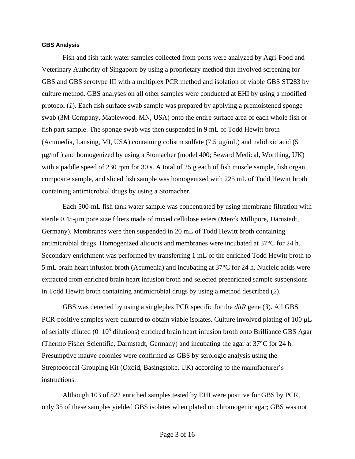#### **GBS Analysis**

Fish and fish tank water samples collected from ports were analyzed by Agri-Food and Veterinary Authority of Singapore by using a proprietary method that involved screening for GBS and GBS serotype III with a multiplex PCR method and isolation of viable GBS ST283 by culture method. GBS analyses on all other samples were conducted at EHI by using a modified protocol (*1*). Each fish surface swab sample was prepared by applying a premoistened sponge swab (3M Company, Maplewood. MN, USA) onto the entire surface area of each whole fish or fish part sample. The sponge swab was then suspended in 9 mL of Todd Hewitt broth (Acumedia, Lansing, MI, USA) containing colistin sulfate  $(7.5 \mu g/mL)$  and nalidixic acid  $(5 \mu g)$ g/mL) and homogenized by using a Stomacher (model 400; Seward Medical, Worthing, UK) with a paddle speed of 230 rpm for 30 s. A total of 25 g each of fish muscle sample, fish organ composite sample, and sliced fish sample was homogenized with 225 mL of Todd Hewitt broth containing antimicrobial drugs by using a Stomacher.

Each 500-mL fish tank water sample was concentrated by using membrane filtration with sterile 0.45-µm pore size filters made of mixed cellulose esters (Merck Millipore, Darnstadt, Germany). Membranes were then suspended in 20 mL of Todd Hewitt broth containing antimicrobial drugs. Homogenized aliquots and membranes were incubated at 37°C for 24 h. Secondary enrichment was performed by transferring 1 mL of the enriched Todd Hewitt broth to 5 mL brain heart infusion broth (Acumedia) and incubating at 37°C for 24 h. Nucleic acids were extracted from enriched brain heart infusion broth and selected preenriched sample suspensions in Todd Hewitt broth containing antimicrobial drugs by using a method described (*2*).

GBS was detected by using a singleplex PCR specific for the *dltR* gene (*3*). All GBS PCR-positive samples were cultured to obtain viable isolates. Culture involved plating of  $100 \mu L$ of serially diluted  $(0-10^5$  dilutions) enriched brain heart infusion broth onto Brilliance GBS Agar (Thermo Fisher Scientific, Darmstadt, Germany) and incubating the agar at 37°C for 24 h. Presumptive mauve colonies were confirmed as GBS by serologic analysis using the Streptococcal Grouping Kit (Oxoid, Basingstoke, UK) according to the manufacturer's instructions.

Although 103 of 522 enriched samples tested by EHI were positive for GBS by PCR, only 35 of these samples yielded GBS isolates when plated on chromogenic agar; GBS was not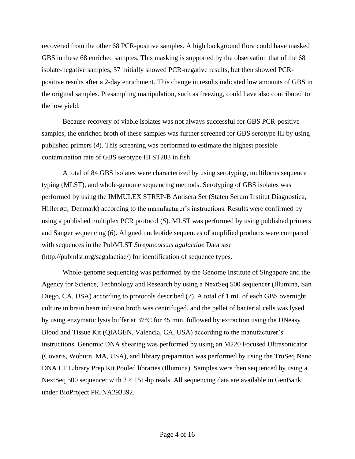recovered from the other 68 PCR-positive samples. A high background flora could have masked GBS in these 68 enriched samples. This masking is supported by the observation that of the 68 isolate-negative samples, 57 initially showed PCR-negative results, but then showed PCRpositive results after a 2-day enrichment. This change in results indicated low amounts of GBS in the original samples. Presampling manipulation, such as freezing, could have also contributed to the low yield.

Because recovery of viable isolates was not always successful for GBS PCR-positive samples, the enriched broth of these samples was further screened for GBS serotype III by using published primers (*4*). This screening was performed to estimate the highest possible contamination rate of GBS serotype III ST283 in fish.

A total of 84 GBS isolates were characterized by using serotyping, multilocus sequence typing (MLST), and whole-genome sequencing methods. Serotyping of GBS isolates was performed by using the IMMULEX STREP-B Antisera Set (Staten Serum Institut Diagnostica, Hillerød, Denmark) according to the manufacturer's instructions. Results were confirmed by using a published multiplex PCR protocol (*5*). MLST was performed by using published primers and Sanger sequencing (*6*). Aligned nucleotide sequences of amplified products were compared with sequences in the PubMLST *Streptococcus agalactiae* Database (http://pubmlst.org/sagalactiae/) for identification of sequence types.

Whole-genome sequencing was performed by the Genome Institute of Singapore and the Agency for Science, Technology and Research by using a NextSeq 500 sequencer (Illumina, San Diego, CA, USA) according to protocols described (*7*). A total of 1 mL of each GBS overnight culture in brain heart infusion broth was centrifuged, and the pellet of bacterial cells was lysed by using enzymatic lysis buffer at 37°C for 45 min, followed by extraction using the DNeasy Blood and Tissue Kit (QIAGEN, Valencia, CA, USA) according to the manufacturer's instructions. Genomic DNA shearing was performed by using an M220 Focused Ultrasonicator (Covaris, Woburn, MA, USA), and library preparation was performed by using the TruSeq Nano DNA LT Library Prep Kit Pooled libraries (Illumina). Samples were then sequenced by using a NextSeq 500 sequencer with  $2 \times 151$ -bp reads. All sequencing data are available in GenBank under BioProject PRJNA293392.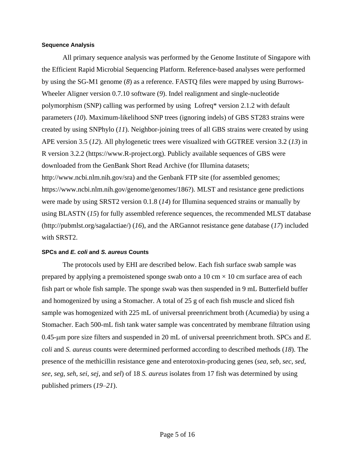#### **Sequence Analysis**

All primary sequence analysis was performed by the Genome Institute of Singapore with the Efficient Rapid Microbial Sequencing Platform. Reference-based analyses were performed by using the SG-M1 genome (*8*) as a reference. FASTQ files were mapped by using Burrows-Wheeler Aligner version 0.7.10 software (*9*). Indel realignment and single-nucleotide polymorphism (SNP) calling was performed by using Lofreq\* version 2.1.2 with default parameters (*10*). Maximum-likelihood SNP trees (ignoring indels) of GBS ST283 strains were created by using SNPhylo (*11*). Neighbor-joining trees of all GBS strains were created by using APE version 3.5 (*12*). All phylogenetic trees were visualized with GGTREE version 3.2 (*13*) in R version 3.2.2 (https://www.R-project.org). Publicly available sequences of GBS were downloaded from the GenBank Short Read Archive (for Illumina datasets; http://www.ncbi.nlm.nih.gov/sra) and the Genbank FTP site (for assembled genomes; https://www.ncbi.nlm.nih.gov/genome/genomes/186?). MLST and resistance gene predictions were made by using SRST2 version 0.1.8 (*14*) for Illumina sequenced strains or manually by using BLASTN (*15*) for fully assembled reference sequences, the recommended MLST database (http://pubmlst.org/sagalactiae/) (*16*), and the ARGannot resistance gene database (*17*) included with SRST2.

#### **SPCs and** *E. coli* **and** *S. aureus* **Counts**

The protocols used by EHI are described below. Each fish surface swab sample was prepared by applying a premoistened sponge swab onto a 10 cm  $\times$  10 cm surface area of each fish part or whole fish sample. The sponge swab was then suspended in 9 mL Butterfield buffer and homogenized by using a Stomacher. A total of 25 g of each fish muscle and sliced fish sample was homogenized with 225 mL of universal preenrichment broth (Acumedia) by using a Stomacher. Each 500-mL fish tank water sample was concentrated by membrane filtration using 0.45-m pore size filters and suspended in 20 mL of universal preenrichment broth. SPCs and *E. coli* and *S. aureus* counts were determined performed according to described methods (*18*). The presence of the methicillin resistance gene and enterotoxin-producing genes (*sea*, *seb*, *sec*, *sed*, *see*, *seg*, *seh*, *sei*, *sej*, and *sel*) of 18 *S. aureus* isolates from 17 fish was determined by using published primers (*19*–*21*).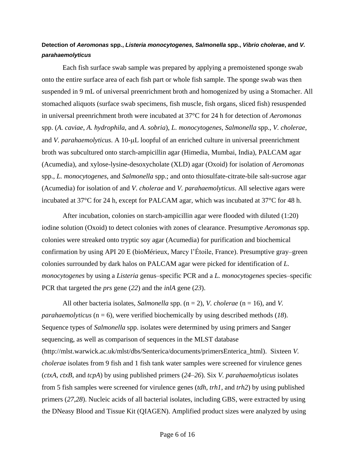# **Detection of** *Aeromonas* **spp.,** *Listeria monocytogenes, Salmonella* **spp.,** *Vibrio cholerae***, and** *V. parahaemolyticus*

Each fish surface swab sample was prepared by applying a premoistened sponge swab onto the entire surface area of each fish part or whole fish sample. The sponge swab was then suspended in 9 mL of universal preenrichment broth and homogenized by using a Stomacher. All stomached aliquots (surface swab specimens, fish muscle, fish organs, sliced fish) resuspended in universal preenrichment broth were incubated at 37°C for 24 h for detection of *Aeromonas* spp. (*A. caviae*, *A. hydrophila*, and *A. sobria*), *L. monocytogenes*, *Salmonella* spp., *V. cholerae*, and *V. parahaemolyticus*. A 10-µL loopful of an enriched culture in universal preenrichment broth was subcultured onto starch-ampicillin agar (Himedia, Mumbai, India), PALCAM agar (Acumedia), and xylose-lysine-desoxycholate (XLD) agar (Oxoid) for isolation of *Aeromonas* spp., *L. monocytogenes*, and *Salmonella* spp.; and onto thiosulfate-citrate-bile salt-sucrose agar (Acumedia) for isolation of and *V*. *cholerae* and *V. parahaemolyticus*. All selective agars were incubated at 37°C for 24 h, except for PALCAM agar, which was incubated at 37°C for 48 h.

After incubation, colonies on starch-ampicillin agar were flooded with diluted (1:20) iodine solution (Oxoid) to detect colonies with zones of clearance. Presumptive *Aeromonas* spp. colonies were streaked onto tryptic soy agar (Acumedia) for purification and biochemical confirmation by using API 20 E (bioMérieux, Marcy l'Étoile, France). Presumptive gray–green colonies surrounded by dark halos on PALCAM agar were picked for identification of *L. monocytogenes* by using a *Listeria* genus–specific PCR and a *L. monocytogenes* species–specific PCR that targeted the *prs* gene (*22*) and the *inlA* gene (*23*).

All other bacteria isolates, *Salmonella* spp. (n = 2), *V. cholerae* (n = 16), and *V. parahaemolyticus* (n = 6), were verified biochemically by using described methods (*18*). Sequence types of *Salmonella* spp. isolates were determined by using primers and Sanger sequencing, as well as comparison of sequences in the MLST database (http://mlst.warwick.ac.uk/mlst/dbs/Senterica/documents/primersEnterica\_html). Sixteen *V. cholerae* isolates from 9 fish and 1 fish tank water samples were screened for virulence genes (*ctxA*, *ctxB*, and *tcpA*) by using published primers (*24*–*26*). Six *V. parahaemolyticus* isolates from 5 fish samples were screened for virulence genes (*tdh*, *trh1*, and *trh2*) by using published primers (*27*,*28*). Nucleic acids of all bacterial isolates, including GBS, were extracted by using the DNeasy Blood and Tissue Kit (QIAGEN). Amplified product sizes were analyzed by using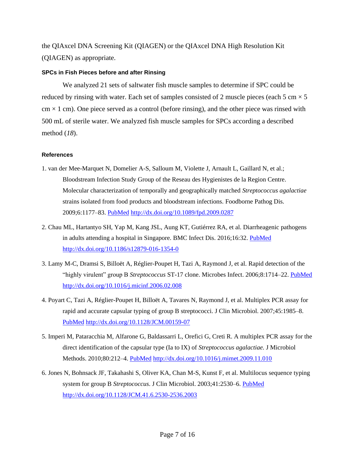the QIAxcel DNA Screening Kit (QIAGEN) or the QIAxcel DNA High Resolution Kit (QIAGEN) as appropriate.

#### **SPCs in Fish Pieces before and after Rinsing**

We analyzed 21 sets of saltwater fish muscle samples to determine if SPC could be reduced by rinsing with water. Each set of samples consisted of 2 muscle pieces (each 5 cm  $\times$  5  $\text{cm} \times 1 \text{ cm}$ ). One piece served as a control (before rinsing), and the other piece was rinsed with 500 mL of sterile water. We analyzed fish muscle samples for SPCs according a described method (*18*).

## **References**

- 1. van der Mee-Marquet N, Domelier A-S, Salloum M, Violette J, Arnault L, Gaillard N, et al.; Bloodstream Infection Study Group of the Reseau des Hygienistes de la Region Centre. Molecular characterization of temporally and geographically matched *Streptococcus agalactiae* strains isolated from food products and bloodstream infections. Foodborne Pathog Dis. 2009;6:1177–83. [PubMed](https://www.ncbi.nlm.nih.gov/entrez/query.fcgi?cmd=Retrieve&db=PubMed&list_uids=19743924&dopt=Abstract) <http://dx.doi.org/10.1089/fpd.2009.0287>
- 2. Chau ML, Hartantyo SH, Yap M, Kang JSL, Aung KT, Gutiérrez RA, et al. Diarrheagenic pathogens in adults attending a hospital in Singapore. BMC Infect Dis. 2016;16:32. [PubMed](https://www.ncbi.nlm.nih.gov/entrez/query.fcgi?cmd=Retrieve&db=PubMed&list_uids=26822615&dopt=Abstract) <http://dx.doi.org/10.1186/s12879-016-1354-0>
- 3. Lamy M-C, Dramsi S, Billoët A, Réglier-Poupet H, Tazi A, Raymond J, et al. Rapid detection of the "highly virulent" group B *Streptococcus* ST-17 clone. Microbes Infect. 2006;8:1714–22. [PubMed](https://www.ncbi.nlm.nih.gov/entrez/query.fcgi?cmd=Retrieve&db=PubMed&list_uids=16822689&dopt=Abstract) <http://dx.doi.org/10.1016/j.micinf.2006.02.008>
- 4. Poyart C, Tazi A, Réglier-Poupet H, Billoët A, Tavares N, Raymond J, et al. Multiplex PCR assay for rapid and accurate capsular typing of group B streptococci. J Clin Microbiol. 2007;45:1985–8[.](https://www.ncbi.nlm.nih.gov/entrez/query.fcgi?cmd=Retrieve&db=PubMed&list_uids=17376884&dopt=Abstract) [PubMed](https://www.ncbi.nlm.nih.gov/entrez/query.fcgi?cmd=Retrieve&db=PubMed&list_uids=17376884&dopt=Abstract) <http://dx.doi.org/10.1128/JCM.00159-07>
- 5. Imperi M, Pataracchia M, Alfarone G, Baldassarri L, Orefici G, Creti R. A multiplex PCR assay for the direct identification of the capsular type (Ia to IX) of *Streptococcus agalactiae.* J Microbiol Methods. 2010;80:212-4. [PubMed](https://www.ncbi.nlm.nih.gov/entrez/query.fcgi?cmd=Retrieve&db=PubMed&list_uids=19958797&dopt=Abstract) <http://dx.doi.org/10.1016/j.mimet.2009.11.010>
- 6. Jones N, Bohnsack JF, Takahashi S, Oliver KA, Chan M-S, Kunst F, et al. Multilocus sequence typing system for group B *Streptococcus*. J Clin Microbiol. 2003;41:2530–6. [PubMed](https://www.ncbi.nlm.nih.gov/entrez/query.fcgi?cmd=Retrieve&db=PubMed&list_uids=12791877&dopt=Abstract) <http://dx.doi.org/10.1128/JCM.41.6.2530-2536.2003>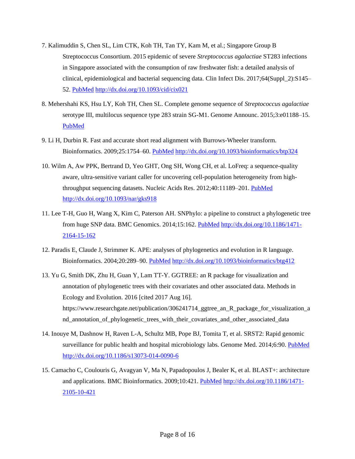- 7. Kalimuddin S, Chen SL, Lim CTK, Koh TH, Tan TY, Kam M, et al.; Singapore Group B Streptococcus Consortium. 2015 epidemic of severe *Streptococcus agalactiae* ST283 infections in Singapore associated with the consumption of raw freshwater fish: a detailed analysis of clinical, epidemiological and bacterial sequencing data. Clin Infect Dis. 2017;64(Suppl\_2):S145– 52. [PubMed](https://www.ncbi.nlm.nih.gov/entrez/query.fcgi?cmd=Retrieve&db=PubMed&list_uids=28475781&dopt=Abstract) <http://dx.doi.org/10.1093/cid/cix021>
- 8. Mehershahi KS, Hsu LY, Koh TH, Chen SL. Complete genome sequence of *Streptococcus agalactiae* serotype III, multilocus sequence type 283 strain SG-M1. Genome Announc. 2015;3:e01188–15[.](https://www.ncbi.nlm.nih.gov/entrez/query.fcgi?cmd=Retrieve&db=PubMed&list_uids=26494662&dopt=Abstract) [PubMed](https://www.ncbi.nlm.nih.gov/entrez/query.fcgi?cmd=Retrieve&db=PubMed&list_uids=26494662&dopt=Abstract)
- 9. Li H, Durbin R. Fast and accurate short read alignment with Burrows-Wheeler transform. Bioinformatics. 2009;25:1754–60. [PubMed](https://www.ncbi.nlm.nih.gov/entrez/query.fcgi?cmd=Retrieve&db=PubMed&list_uids=19451168&dopt=Abstract) <http://dx.doi.org/10.1093/bioinformatics/btp324>
- 10. Wilm A, Aw PPK, Bertrand D, Yeo GHT, Ong SH, Wong CH, et al. LoFreq: a sequence-quality aware, ultra-sensitive variant caller for uncovering cell-population heterogeneity from high-throughput sequencing datasets. Nucleic Acids Res. 2012;40:11189-201. [PubMed](https://www.ncbi.nlm.nih.gov/entrez/query.fcgi?cmd=Retrieve&db=PubMed&list_uids=23066108&dopt=Abstract) <http://dx.doi.org/10.1093/nar/gks918>
- 11. Lee T-H, Guo H, Wang X, Kim C, Paterson AH. SNPhylo: a pipeline to construct a phylogenetic tree from huge SNP data. BMC Genomics. 2014;15:162. [PubMed](https://www.ncbi.nlm.nih.gov/entrez/query.fcgi?cmd=Retrieve&db=PubMed&list_uids=24571581&dopt=Abstract) [http://dx.doi.org/10.1186/1471-](http://dx.doi.org/10.1186/1471-2164-15-162) [2164-15-162](http://dx.doi.org/10.1186/1471-2164-15-162)
- 12. Paradis E, Claude J, Strimmer K. APE: analyses of phylogenetics and evolution in R language. Bioinformatics. 2004;20:289–90. [PubMed](https://www.ncbi.nlm.nih.gov/entrez/query.fcgi?cmd=Retrieve&db=PubMed&list_uids=14734327&dopt=Abstract) <http://dx.doi.org/10.1093/bioinformatics/btg412>
- 13. Yu G, Smith DK, Zhu H, Guan Y, Lam TT-Y. GGTREE: an R package for visualization and annotation of phylogenetic trees with their covariates and other associated data. Methods in Ecology and Evolution. 2016 [cited 2017 Aug 16]. https://www.researchgate.net/publication/306241714\_ggtree\_an\_R\_package\_for\_visualization\_a nd\_annotation\_of\_phylogenetic\_trees\_with\_their\_covariates\_and\_other\_associated\_data
- 14. Inouye M, Dashnow H, Raven L-A, Schultz MB, Pope BJ, Tomita T, et al. SRST2: Rapid genomic surveillance for public health and hospital microbiology labs. Genome Med. 2014;6:90. [PubMed](https://www.ncbi.nlm.nih.gov/entrez/query.fcgi?cmd=Retrieve&db=PubMed&list_uids=25422674&dopt=Abstract) <http://dx.doi.org/10.1186/s13073-014-0090-6>
- 15. Camacho C, Coulouris G, Avagyan V, Ma N, Papadopoulos J, Bealer K, et al. BLAST+: architecture and applications. BMC Bioinformatics. 2009;10:421. [PubMed](https://www.ncbi.nlm.nih.gov/entrez/query.fcgi?cmd=Retrieve&db=PubMed&list_uids=20003500&dopt=Abstract) [http://dx.doi.org/10.1186/1471-](http://dx.doi.org/10.1186/1471-2105-10-421) [2105-10-421](http://dx.doi.org/10.1186/1471-2105-10-421)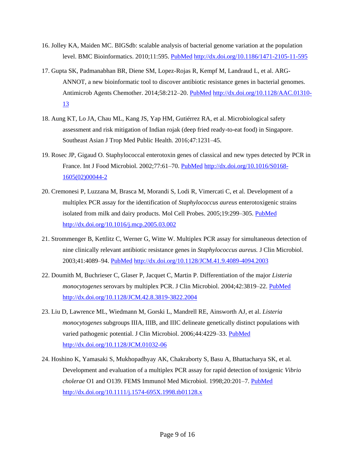- 16. Jolley KA, Maiden MC. BIGSdb: scalable analysis of bacterial genome variation at the population level. BMC Bioinformatics. 2010;11:595. [PubMed](https://www.ncbi.nlm.nih.gov/entrez/query.fcgi?cmd=Retrieve&db=PubMed&list_uids=21143983&dopt=Abstract) <http://dx.doi.org/10.1186/1471-2105-11-595>
- 17. Gupta SK, Padmanabhan BR, Diene SM, Lopez-Rojas R, Kempf M, Landraud L, et al. ARG-ANNOT, a new bioinformatic tool to discover antibiotic resistance genes in bacterial genomes. Antimicrob Agents Chemother. 2014;58:212–20. [PubMed](https://www.ncbi.nlm.nih.gov/entrez/query.fcgi?cmd=Retrieve&db=PubMed&list_uids=24145532&dopt=Abstract) [http://dx.doi.org/10.1128/AAC.01310-](http://dx.doi.org/10.1128/AAC.01310-13) [13](http://dx.doi.org/10.1128/AAC.01310-13)
- 18. Aung KT, Lo JA, Chau ML, Kang JS, Yap HM, Gutiérrez RA, et al. Microbiological safety assessment and risk mitigation of Indian rojak (deep fried ready-to-eat food) in Singapore. Southeast Asian J Trop Med Public Health. 2016;47:1231–45.
- 19. Rosec JP, Gigaud O. Staphylococcal enterotoxin genes of classical and new types detected by PCR in France. Int J Food Microbiol. 2002;77:61–70. [PubMed](https://www.ncbi.nlm.nih.gov/entrez/query.fcgi?cmd=Retrieve&db=PubMed&list_uids=12076039&dopt=Abstract) [http://dx.doi.org/10.1016/S0168-](http://dx.doi.org/10.1016/S0168-1605(02)00044-2) [1605\(02\)00044-2](http://dx.doi.org/10.1016/S0168-1605(02)00044-2)
- 20. Cremonesi P, Luzzana M, Brasca M, Morandi S, Lodi R, Vimercati C, et al. Development of a multiplex PCR assay for the identification of *Staphylococcus aureus* enterotoxigenic strains isolated from milk and dairy products. Mol Cell Probes. 2005;19:299-305. [PubMed](https://www.ncbi.nlm.nih.gov/entrez/query.fcgi?cmd=Retrieve&db=PubMed&list_uids=16006095&dopt=Abstract) <http://dx.doi.org/10.1016/j.mcp.2005.03.002>
- 21. Strommenger B, Kettlitz C, Werner G, Witte W. Multiplex PCR assay for simultaneous detection of nine clinically relevant antibiotic resistance genes in *Staphylococcus aureus.* J Clin Microbiol. 2003;41:4089–94. [PubMed](https://www.ncbi.nlm.nih.gov/entrez/query.fcgi?cmd=Retrieve&db=PubMed&list_uids=12958230&dopt=Abstract) <http://dx.doi.org/10.1128/JCM.41.9.4089-4094.2003>
- 22. Doumith M, Buchrieser C, Glaser P, Jacquet C, Martin P. Differentiation of the major *Listeria monocytogenes* serovars by multiplex PCR. J Clin Microbiol. 2004;42:3819–22. [PubMed](https://www.ncbi.nlm.nih.gov/entrez/query.fcgi?cmd=Retrieve&db=PubMed&list_uids=15297538&dopt=Abstract) <http://dx.doi.org/10.1128/JCM.42.8.3819-3822.2004>
- 23. Liu D, Lawrence ML, Wiedmann M, Gorski L, Mandrell RE, Ainsworth AJ, et al. *Listeria monocytogenes* subgroups IIIA, IIIB, and IIIC delineate genetically distinct populations with varied pathogenic potential. J Clin Microbiol. 2006;44:4229-33. [PubMed](https://www.ncbi.nlm.nih.gov/entrez/query.fcgi?cmd=Retrieve&db=PubMed&list_uids=17005751&dopt=Abstract) <http://dx.doi.org/10.1128/JCM.01032-06>
- 24. Hoshino K, Yamasaki S, Mukhopadhyay AK, Chakraborty S, Basu A, Bhattacharya SK, et al. Development and evaluation of a multiplex PCR assay for rapid detection of toxigenic *Vibrio cholerae* O1 and O139. FEMS Immunol Med Microbiol. 1998;20:201–7. [PubMed](https://www.ncbi.nlm.nih.gov/entrez/query.fcgi?cmd=Retrieve&db=PubMed&list_uids=9566491&dopt=Abstract) <http://dx.doi.org/10.1111/j.1574-695X.1998.tb01128.x>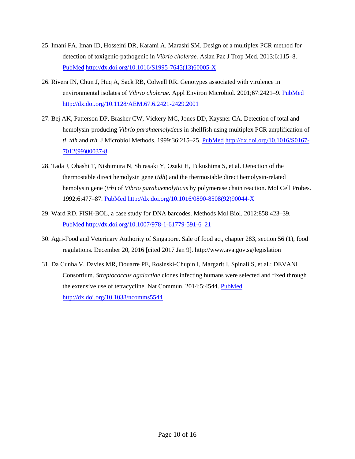- 25. Imani FA, Iman ID, Hosseini DR, Karami A, Marashi SM. Design of a multiplex PCR method for detection of toxigenic-pathogenic in *Vibrio cholerae.* Asian Pac J Trop Med. 2013;6:115–8[.](https://www.ncbi.nlm.nih.gov/entrez/query.fcgi?cmd=Retrieve&db=PubMed&list_uids=23339912&dopt=Abstract) [PubMed](https://www.ncbi.nlm.nih.gov/entrez/query.fcgi?cmd=Retrieve&db=PubMed&list_uids=23339912&dopt=Abstract) [http://dx.doi.org/10.1016/S1995-7645\(13\)60005-X](http://dx.doi.org/10.1016/S1995-7645(13)60005-X)
- 26. Rivera IN, Chun J, Huq A, Sack RB, Colwell RR. Genotypes associated with virulence in environmental isolates of *Vibrio cholerae.* Appl Environ Microbiol. 2001;67:2421–9. [PubMed](https://www.ncbi.nlm.nih.gov/entrez/query.fcgi?cmd=Retrieve&db=PubMed&list_uids=11375146&dopt=Abstract) <http://dx.doi.org/10.1128/AEM.67.6.2421-2429.2001>
- 27. Bej AK, Patterson DP, Brasher CW, Vickery MC, Jones DD, Kaysner CA. Detection of total and hemolysin-producing *Vibrio parahaemolyticus* in shellfish using multiplex PCR amplification of *tl, tdh* and *trh.* J Microbiol Methods. 1999;36:215–25. [PubMed](https://www.ncbi.nlm.nih.gov/entrez/query.fcgi?cmd=Retrieve&db=PubMed&list_uids=10379807&dopt=Abstract) [http://dx.doi.org/10.1016/S0167-](http://dx.doi.org/10.1016/S0167-7012(99)00037-8) [7012\(99\)00037-8](http://dx.doi.org/10.1016/S0167-7012(99)00037-8)
- 28. Tada J, Ohashi T, Nishimura N, Shirasaki Y, Ozaki H, Fukushima S, et al. Detection of the thermostable direct hemolysin gene (*tdh*) and the thermostable direct hemolysin-related hemolysin gene (*trh*) of *Vibrio parahaemolyticus* by polymerase chain reaction. Mol Cell Probes. 1992;6:477–87. [PubMed](https://www.ncbi.nlm.nih.gov/entrez/query.fcgi?cmd=Retrieve&db=PubMed&list_uids=1480187&dopt=Abstract) [http://dx.doi.org/10.1016/0890-8508\(92\)90044-X](http://dx.doi.org/10.1016/0890-8508(92)90044-X)
- 29. Ward RD. FISH-BOL, a case study for DNA barcodes. Methods Mol Biol. 2012;858:423–39[.](https://www.ncbi.nlm.nih.gov/entrez/query.fcgi?cmd=Retrieve&db=PubMed&list_uids=22684969&dopt=Abstract) [PubMed](https://www.ncbi.nlm.nih.gov/entrez/query.fcgi?cmd=Retrieve&db=PubMed&list_uids=22684969&dopt=Abstract) [http://dx.doi.org/10.1007/978-1-61779-591-6\\_21](http://dx.doi.org/10.1007/978-1-61779-591-6_21)
- 30. Agri-Food and Veterinary Authority of Singapore. Sale of food act, chapter 283, section 56 (1), food regulations. December 20, 2016 [cited 2017 Jan 9]. http://www.ava.gov.sg/legislation
- 31. Da Cunha V, Davies MR, Douarre PE, Rosinski-Chupin I, Margarit I, Spinali S, et al.; DEVANI Consortium. *Streptococcus agalactiae* clones infecting humans were selected and fixed through the extensive use of tetracycline. Nat Commun. 2014;5:4544. [PubMed](https://www.ncbi.nlm.nih.gov/entrez/query.fcgi?cmd=Retrieve&db=PubMed&list_uids=25088811&dopt=Abstract) <http://dx.doi.org/10.1038/ncomms5544>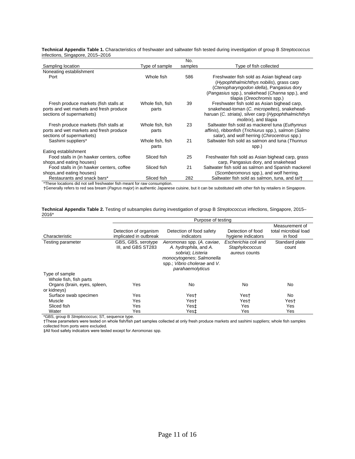**Technical Appendix Table 1.** Characteristics of freshwater and saltwater fish tested during investigation of group B *Streptococcus* infections, Singapore, 2015–2016

|                                                                      |                           | No.     |                                                                                                                           |
|----------------------------------------------------------------------|---------------------------|---------|---------------------------------------------------------------------------------------------------------------------------|
| Sampling location                                                    | Type of sample            | samples | Type of fish collected                                                                                                    |
| Noneating establishment                                              |                           |         |                                                                                                                           |
| Port                                                                 | Whole fish                | 586     | Freshwater fish sold as Asian bighead carp<br>(Hypophthalmichthys nobilis), grass carp                                    |
|                                                                      |                           |         | (Ctenopharyngodon idella), Pangasius dory<br>(Pangasius spp.), snakehead (Channa spp.), and<br>tilapia (Oreochromis spp.) |
| Fresh produce markets (fish stalls at                                | Whole fish, fish          | 39      | Freshwater fish sold as Asian bighead carp,                                                                               |
| ports and wet markets and fresh produce                              | parts                     |         | snakehead-toman (C. micropeltes), snakehead-                                                                              |
| sections of supermarkets)                                            |                           |         | haruan (C. striata), silver carp (Hypophthalmichthys<br><i>molitrix</i> ), and tilapia                                    |
| Fresh produce markets (fish stalls at                                | Whole fish, fish          | 23      | Saltwater fish sold as mackerel tuna (Euthynnus                                                                           |
| ports and wet markets and fresh produce<br>sections of supermarkets) | parts                     |         | affinis), ribbonfish (Trichiurus spp.), salmon (Salmo<br>salar), and wolf herring (Chirocentrus spp.)                     |
| Sashimi suppliers*                                                   | Whole fish, fish<br>parts | 21      | Saltwater fish sold as salmon and tuna (Thunnus<br>spp.)                                                                  |
| Eating establishment                                                 |                           |         |                                                                                                                           |
| Food stalls in (in hawker centers, coffee                            | Sliced fish               | 25      | Freshwater fish sold as Asian bighead carp, grass                                                                         |
| shops, and eating houses)                                            |                           |         | carp, Pangasius dory, and snakehead                                                                                       |
| Food stalls in (in hawker centers, coffee                            | Sliced fish               | 21      | Saltwater fish sold as salmon and Spanish mackerel                                                                        |
| shops, and eating houses)                                            |                           |         | (Scomberomorus spp.), and wolf herring.                                                                                   |
| Restaurants and snack bars*                                          | Sliced fish               | 282     | Saltwater fish sold as salmon, tuna, and tait                                                                             |

\*These locations did not sell freshwater fish meant for raw consumption.

†Generally refers to red sea bream (*Pagrus major*) in authentic Japanese cuisine, but it can be substituted with other fish by retailers in Singapore.

**Technical Appendix Table 2.** Testing of subsamples during investigation of group B *Streptococcus* infections, Singapore, 2015– 2016\*

|                                             | Purpose of testing                       |                                                                               |                                                         |                         |  |  |  |  |
|---------------------------------------------|------------------------------------------|-------------------------------------------------------------------------------|---------------------------------------------------------|-------------------------|--|--|--|--|
|                                             |                                          | Measurement of                                                                |                                                         |                         |  |  |  |  |
|                                             | Detection of organism                    | Detection of food safety                                                      | Detection of food                                       | total microbial load    |  |  |  |  |
| Characteristic                              | implicated in outbreak                   | indicators                                                                    | hygiene indicators                                      | in food                 |  |  |  |  |
| Testing parameter                           | GBS, GBS, serotype<br>III, and GBS ST283 | Aeromonas spp. (A. caviae,<br>A. hydrophila, and A.<br>sobria); Listeria      | Escherichia coli and<br>Staphylococcus<br>aureus counts | Standard plate<br>count |  |  |  |  |
|                                             |                                          | monocytogenes; Salmonella<br>spp.; Vibrio cholerae and V.<br>parahaemolyticus |                                                         |                         |  |  |  |  |
| Type of sample<br>Whole fish, fish parts    |                                          |                                                                               |                                                         |                         |  |  |  |  |
| Organs (brain, eyes, spleen,<br>or kidneys) | Yes                                      | No                                                                            | No                                                      | No                      |  |  |  |  |
| Surface swab specimen                       | Yes                                      | Yest                                                                          | Yest                                                    | No                      |  |  |  |  |
| Muscle                                      | Yes                                      | Yest                                                                          | Yest                                                    | Yest                    |  |  |  |  |
| Sliced fish                                 | Yes                                      | Yes‡                                                                          | Yes                                                     | Yes                     |  |  |  |  |
| Water                                       | Yes                                      | Yes‡                                                                          | Yes                                                     | Yes                     |  |  |  |  |

\*GBS, group B *Streptococcus*; ST, sequence type.

†These parameters were tested on whole fish/fish part samples collected at only fresh produce markets and sashimi suppliers; whole fish samples collected from ports were excluded.

‡All food safety indicators were tested except for *Aeromonas* spp.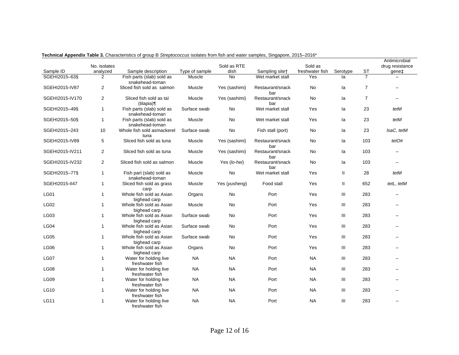|                 |                |                                              |                |               |                         |                 |          |                | Antimicrobial   |
|-----------------|----------------|----------------------------------------------|----------------|---------------|-------------------------|-----------------|----------|----------------|-----------------|
|                 | No. isolates   |                                              |                | Sold as RTE   |                         | Sold as         |          |                | drug resistance |
| Sample ID       | analyzed       | Sample description                           | Type of sample | dish          | Sampling sitet          | freshwater fish | Serotype | <b>ST</b>      | gene‡           |
| SGEHI2015-63§   | 2              | Fish parts (slab) sold as<br>snakehead-toman | Muscle         | <b>No</b>     | Wet market stall        | Yes             | la       | $\overline{7}$ |                 |
| SGEHI2015-IV87  | 2              | Sliced fish sold as salmon                   | Muscle         | Yes (sashimi) | Restaurant/snack<br>bar | No              | la       | $\overline{7}$ |                 |
| SGEHI2015-IV170 | 2              | Sliced fish sold as taï<br>(tilapia)¶        | Muscle         | Yes (sashimi) | Restaurant/snack<br>bar | No              | la       | $\overline{7}$ |                 |
| SGEHI2015-49§   | $\mathbf{1}$   | Fish parts (slab) sold as<br>snakehead-toman | Surface swab   | No            | Wet market stall        | Yes             | la       | 23             | tetM            |
| SGEHI2015-50§   | $\mathbf{1}$   | Fish parts (slab) sold as<br>snakehead-toman | Muscle         | No            | Wet market stall        | Yes             | la       | 23             | tetM            |
| SGEHI2015-243   | 10             | Whole fish sold asmackerel<br>tuna           | Surface swab   | No            | Fish stall (port)       | No              | la       | 23             | IsaC, tetM      |
| SGEHI2015-IV89  | 5              | Sliced fish sold as tuna                     | Muscle         | Yes (sashimi) | Restaurant/snack<br>bar | No              | la       | 103            | tetO#           |
| SGEHI2015-IV211 | $\overline{2}$ | Sliced fish sold as tuna                     | Muscle         | Yes (sashimi) | Restaurant/snack<br>bar | No              | la       | 103            |                 |
| SGEHI2015-IV232 | $\overline{2}$ | Sliced fish sold as salmon                   | Muscle         | Yes (lo-hei)  | Restaurant/snack<br>bar | No              | la       | 103            |                 |
| SGEHI2015-77§   | $\mathbf{1}$   | Fish part (slab) sold as<br>snakehead-toman  | Muscle         | No            | Wet market stall        | Yes             | Ш        | 28             | tetM            |
| SGEHI2015-II47  | $\mathbf{1}$   | Sliced fish sold as grass<br>carp            | Muscle         | Yes (yusheng) | Food stall              | Yes             | Ш        | 652            | tetL, tetM      |
| <b>LG01</b>     | $\mathbf{1}$   | Whole fish sold as Asian<br>bighead carp     | Organs         | No            | Port                    | Yes             | Ш        | 283            |                 |
| <b>LG02</b>     | $\mathbf{1}$   | Whole fish sold as Asian<br>bighead carp     | Muscle         | <b>No</b>     | Port                    | Yes             | Ш        | 283            |                 |
| <b>LG03</b>     | $\mathbf{1}$   | Whole fish sold as Asian<br>bighead carp     | Surface swab   | No            | Port                    | Yes             | Ш        | 283            |                 |
| LG04            | $\mathbf{1}$   | Whole fish sold as Asian<br>bighead carp     | Surface swab   | No            | Port                    | Yes             | Ш        | 283            |                 |
| <b>LG05</b>     | $\mathbf{1}$   | Whole fish sold as Asian<br>bighead carp     | Surface swab   | No            | Port                    | Yes             | Ш        | 283            |                 |
| <b>LG06</b>     | $\mathbf{1}$   | Whole fish sold as Asian<br>bighead carp     | Organs         | No            | Port                    | Yes             | III      | 283            |                 |
| LG07            | $\mathbf{1}$   | Water for holding live<br>freshwater fish    | <b>NA</b>      | <b>NA</b>     | Port                    | <b>NA</b>       | III      | 283            |                 |
| <b>LG08</b>     | $\mathbf{1}$   | Water for holding live<br>freshwater fish    | <b>NA</b>      | <b>NA</b>     | Port                    | <b>NA</b>       | Ш        | 283            |                 |
| <b>LG09</b>     | $\mathbf{1}$   | Water for holding live<br>freshwater fish    | <b>NA</b>      | <b>NA</b>     | Port                    | <b>NA</b>       | Ш        | 283            |                 |
| <b>LG10</b>     | $\mathbf{1}$   | Water for holding live<br>freshwater fish    | <b>NA</b>      | <b>NA</b>     | Port                    | <b>NA</b>       | Ш        | 283            |                 |
| <b>LG11</b>     | $\mathbf{1}$   | Water for holding live<br>freshwater fish    | <b>NA</b>      | <b>NA</b>     | Port                    | <b>NA</b>       | Ш        | 283            |                 |

**Technical Appendix Table 3.** Characteristics of group B *Streptococcus* isolates from fish and water samples, Singapore, 2015–2016\*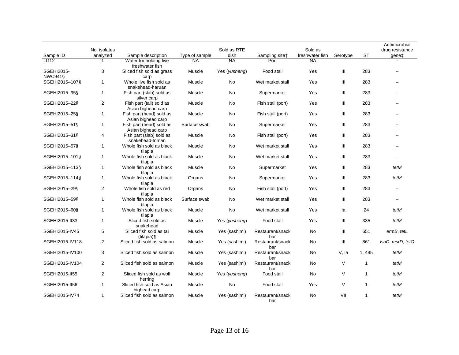|                              | No. isolates   |                                                |                | Sold as RTE   |                         | Sold as         |          |              | Antimicrobial<br>drug resistance |
|------------------------------|----------------|------------------------------------------------|----------------|---------------|-------------------------|-----------------|----------|--------------|----------------------------------|
| Sample ID                    | analyzed       | Sample description                             | Type of sample | dish          | Sampling sitet          | freshwater fish | Serotype | <b>ST</b>    | gene‡                            |
| <b>LG12</b>                  |                | Water for holding live<br>freshwater fish      | <b>NA</b>      | <b>NA</b>     | Port                    | <b>NA</b>       |          |              |                                  |
| SGEHI2015-<br><b>NWC941§</b> | 3              | Sliced fish sold as grass<br>carp              | Muscle         | Yes (yusheng) | Food stall              | Yes             | III      | 283          |                                  |
| SGEHI2015-107§               | $\mathbf{1}$   | Whole live fish sold as<br>snakehead-haruan    | Muscle         | <b>No</b>     | Wet market stall        | Yes             | Ш        | 283          |                                  |
| SGEHI2015-95§                | $\mathbf{1}$   | Fish part (slab) sold as<br>silver carp        | Muscle         | No            | Supermarket             | Yes             | Ш        | 283          |                                  |
| SGEHI2015-22§                | $\overline{2}$ | Fish part (tail) sold as<br>Asian bighead carp | Muscle         | No            | Fish stall (port)       | Yes             | Ш        | 283          |                                  |
| SGEHI2015-25§                | $\mathbf{1}$   | Fish part (head) sold as<br>Asian bighead carp | Muscle         | No            | Fish stall (port)       | Yes             | Ш        | 283          |                                  |
| SGEHI2015-51§                | $\mathbf{1}$   | Fish part (head) sold as<br>Asian bighead carp | Surface swab   | No            | Supermarket             | Yes             | Ш        | 283          |                                  |
| SGEHI2015-31§                | 4              | Fish part (slab) sold as<br>snakehead-toman    | Muscle         | No            | Fish stall (port)       | Yes             | Ш        | 283          |                                  |
| SGEHI2015-57§                | $\mathbf{1}$   | Whole fish sold as black<br>tilapia            | Muscle         | No            | Wet market stall        | Yes             | III      | 283          |                                  |
| SGEHI2015-101§               | $\mathbf{1}$   | Whole fish sold as black<br>tilapia            | Muscle         | No            | Wet market stall        | Yes             | III      | 283          | $\overline{\phantom{0}}$         |
| SGEHI2015-113§               | $\mathbf{1}$   | Whole fish sold as black<br>tilapia            | Muscle         | No            | Supermarket             | Yes             | Ш        | 283          | tetM                             |
| SGEHI2015-114§               | $\mathbf{1}$   | Whole fish sold as black<br>tilapia            | Organs         | No            | Supermarket             | Yes             | III      | 283          | tetM                             |
| SGEHI2015-29§                | $\overline{2}$ | Whole fish sold as red<br>tilapia              | Organs         | No            | Fish stall (port)       | Yes             | III      | 283          |                                  |
| SGEHI2015-59§                | $\mathbf{1}$   | Whole fish sold as black<br>tilapia            | Surface swab   | No            | Wet market stall        | Yes             | Ш        | 283          |                                  |
| SGEHI2015-60§                | $\mathbf{1}$   | Whole fish sold as black<br>tilapia            | Muscle         | No.           | Wet market stall        | Yes             | la       | 24           | tetM                             |
| SGEHI2015-II33               | $\mathbf{1}$   | Sliced fish sold as<br>snakehead               | Muscle         | Yes (yusheng) | Food stall              | Yes             | Ш        | 335          | tetM                             |
| SGEHI2015-IV45               | 5              | Sliced fish sold as taï<br>(tilapia)           | Muscle         | Yes (sashimi) | Restaurant/snack<br>bar | No              | Ш        | 651          | ermB, tetL                       |
| SGEHI2015-IV118              | $\overline{2}$ | Sliced fish sold as salmon                     | Muscle         | Yes (sashimi) | Restaurant/snack<br>bar | No              | Ш        | 861          | IsaC, msrD, tetO                 |
| SGEHI2015-IV100              | 3              | Sliced fish sold as salmon                     | Muscle         | Yes (sashimi) | Restaurant/snack<br>bar | No              | V, la    | 1, 485       | tetM                             |
| SGEHI2015-IV104              | $\mathbf{2}$   | Sliced fish sold as salmon                     | Muscle         | Yes (sashimi) | Restaurant/snack<br>bar | No              | V        | $\mathbf{1}$ | tetM                             |
| SGEHI2015-II55               | $\overline{2}$ | Sliced fish sold as wolf<br>herring            | Muscle         | Yes (yusheng) | Food stall              | <b>No</b>       | V        | $\mathbf{1}$ | tetM                             |
| SGEHI2015-II56               | $\mathbf{1}$   | Sliced fish sold as Asian<br>bighead carp      | Muscle         | <b>No</b>     | Food stall              | Yes             | V        | 1            | tetM                             |
| SGEHI2015-IV74               | 1              | Sliced fish sold as salmon                     | Muscle         | Yes (sashimi) | Restaurant/snack<br>bar | No              | VII      | 1            | tetM                             |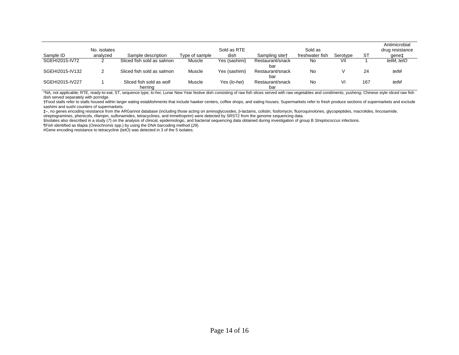|                 |              |                                     |                |               |                            |                 |          |     | Antimicrobial   |
|-----------------|--------------|-------------------------------------|----------------|---------------|----------------------------|-----------------|----------|-----|-----------------|
|                 | No. isolates |                                     |                | Sold as RTE   |                            | Sold as         |          |     | drug resistance |
| Sample ID       | analvzed     | Sample description                  | Type of sample | dish          | Sampling site <sup>+</sup> | freshwater fish | Serotype | -ST | qene‡           |
| SGEHI2015-IV72  |              | Sliced fish sold as salmon          | Muscle         | Yes (sashimi) | Restaurant/snack<br>bar    | No.             | VII      |     | tetM, tetO      |
| SGEHI2015-IV132 |              | Sliced fish sold as salmon          | Muscle         | Yes (sashimi) | Restaurant/snack<br>bar    | No              |          | 24  | tetM            |
| SGEHI2015-IV227 |              | Sliced fish sold as wolf<br>herring | Muscle         | Yes (lo-hei)  | Restaurant/snack<br>bar    | No              |          | 167 | tetM            |

\*NA, not applicable; RTE, ready-to-eat; ST, sequence type; *lo-hei*, Lunar New Year festive dish consisting of raw fish slices served with raw vegetables and condiments; *yusheng*, Chinese style sliced raw fish dish served separately with porridge.

†Food stalls refer to stalls housed within larger eating establishments that include hawker centers, coffee shops, and eating houses. Supermarkets refer to fresh produce sections of supermarkets and exclude sashimi and sushi counters of supermarkets.

‡–, no genes encoding resistance from the ARGannot database (including those acting on aminoglycosides, β-lactams, colistin, fosfomycin, fluoroquinolones, glycopeptides, macrolides, lincosamide, streptogramines, phenicols, rifampin, sulfonamides, tetracyclines, and trimethoprim) were detected by SRST2 from the genome sequencing data.

§Isolates also described in a study (7) on the analysis of clinical, epidemiologic, and bacterial sequencing data obtained during investigation of group B Streptococcus infections.

¶Fish identified as tilapia (*Oreochromis* spp.) by using the DNA barcoding method (*29*).

#Gene encoding resistance to tetracycline (t*etO*) was detected in 3 of the 5 isolates.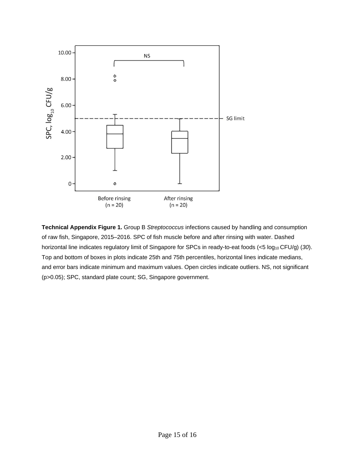

**Technical Appendix Figure 1.** Group B *Streptococcus* infections caused by handling and consumption of raw fish, Singapore, 2015–2016. SPC of fish muscle before and after rinsing with water. Dashed horizontal line indicates regulatory limit of Singapore for SPCs in ready-to-eat foods (<5 log<sub>10</sub> CFU/g) (30). Top and bottom of boxes in plots indicate 25th and 75th percentiles, horizontal lines indicate medians, and error bars indicate minimum and maximum values. Open circles indicate outliers. NS, not significant (p>0.05); SPC, standard plate count; SG, Singapore government.